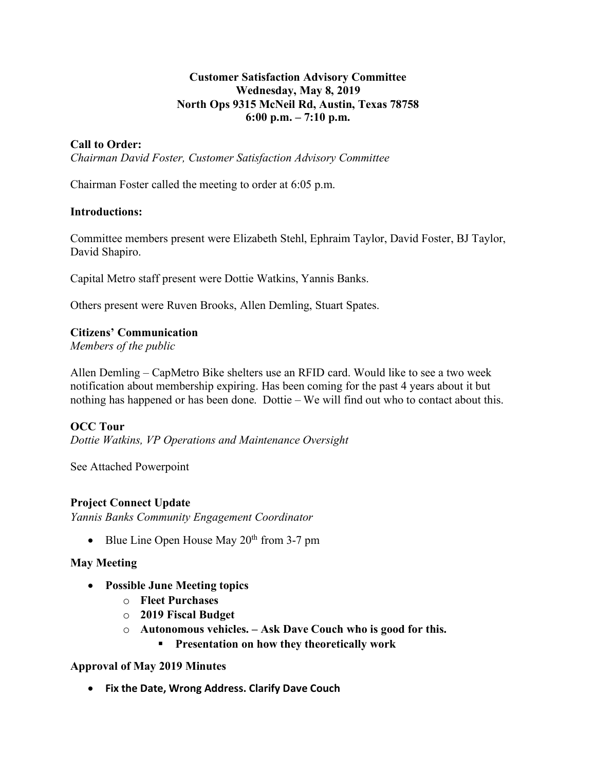## **Customer Satisfaction Advisory Committee Wednesday, May 8, 2019 North Ops 9315 McNeil Rd, Austin, Texas 78758 6:00 p.m. – 7:10 p.m.**

# **Call to Order:**

*Chairman David Foster, Customer Satisfaction Advisory Committee*

Chairman Foster called the meeting to order at 6:05 p.m.

### **Introductions:**

Committee members present were Elizabeth Stehl, Ephraim Taylor, David Foster, BJ Taylor, David Shapiro.

Capital Metro staff present were Dottie Watkins, Yannis Banks.

Others present were Ruven Brooks, Allen Demling, Stuart Spates.

### **Citizens' Communication**

*Members of the public*

Allen Demling – CapMetro Bike shelters use an RFID card. Would like to see a two week notification about membership expiring. Has been coming for the past 4 years about it but nothing has happened or has been done. Dottie – We will find out who to contact about this.

# **OCC Tour**

*Dottie Watkins, VP Operations and Maintenance Oversight*

See Attached Powerpoint

### **Project Connect Update**

*Yannis Banks Community Engagement Coordinator* 

• Blue Line Open House May  $20<sup>th</sup>$  from 3-7 pm

### **May Meeting**

- **Possible June Meeting topics** 
	- o **Fleet Purchases**
	- o **2019 Fiscal Budget**
	- o **Autonomous vehicles. – Ask Dave Couch who is good for this.** 
		- § **Presentation on how they theoretically work**

### **Approval of May 2019 Minutes**

• **Fix the Date, Wrong Address. Clarify Dave Couch**